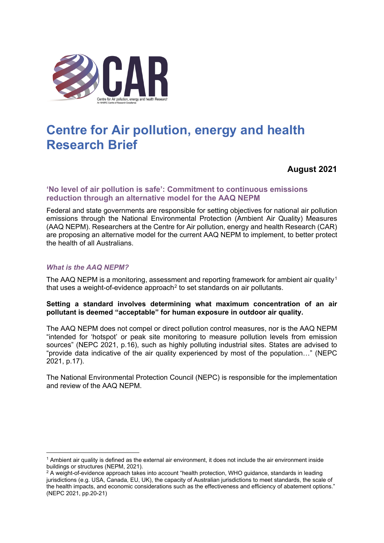

# **Centre for Air pollution, energy and health Research Brief**

**August 2021**

# **'No level of air pollution is safe': Commitment to continuous emissions reduction through an alternative model for the AAQ NEPM**

Federal and state governments are responsible for setting objectives for national air pollution emissions through the National Environmental Protection (Ambient Air Quality) Measures (AAQ NEPM). Researchers at the Centre for Air pollution, energy and health Research (CAR) are proposing an alternative model for the current AAQ NEPM to implement, to better protect the health of all Australians.

## *What is the AAQ NEPM?*

The AAQ NEPM is a monitoring, assessment and reporting framework for ambient air quality<sup>[1](#page-0-0)</sup> that uses a weight-of-evidence approach<sup>[2](#page-0-1)</sup> to set standards on air pollutants.

## **Setting a standard involves determining what maximum concentration of an air pollutant is deemed "acceptable" for human exposure in outdoor air quality.**

The AAQ NEPM does not compel or direct pollution control measures, nor is the AAQ NEPM "intended for 'hotspot' or peak site monitoring to measure pollution levels from emission sources" (NEPC 2021, p.16), such as highly polluting industrial sites. States are advised to "provide data indicative of the air quality experienced by most of the population…" (NEPC 2021, p.17).

The National Environmental Protection Council (NEPC) is responsible for the implementation and review of the AAQ NEPM.

<span id="page-0-0"></span><sup>1</sup> Ambient air quality is defined as the external air environment, it does not include the air environment inside buildings or structures (NEPM, 2021).

<span id="page-0-1"></span><sup>&</sup>lt;sup>2</sup> A weight-of-evidence approach takes into account "health protection, WHO guidance, standards in leading jurisdictions (e.g. USA, Canada, EU, UK), the capacity of Australian jurisdictions to meet standards, the scale of the health impacts, and economic considerations such as the effectiveness and efficiency of abatement options." (NEPC 2021, pp.20-21)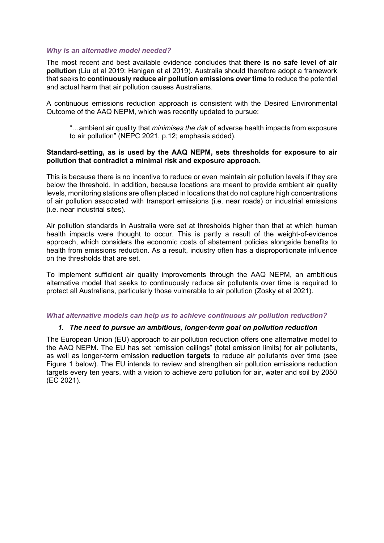#### *Why is an alternative model needed?*

The most recent and best available evidence concludes that **there is no safe level of air pollution** (Liu et al 2019; Hanigan et al 2019). Australia should therefore adopt a framework that seeks to **continuously reduce air pollution emissions over time** to reduce the potential and actual harm that air pollution causes Australians.

A continuous emissions reduction approach is consistent with the Desired Environmental Outcome of the AAQ NEPM, which was recently updated to pursue:

"…ambient air quality that *minimises the risk* of adverse health impacts from exposure to air pollution" (NEPC 2021, p.12; emphasis added).

## **Standard-setting, as is used by the AAQ NEPM, sets thresholds for exposure to air pollution that contradict a minimal risk and exposure approach.**

This is because there is no incentive to reduce or even maintain air pollution levels if they are below the threshold. In addition, because locations are meant to provide ambient air quality levels, monitoring stations are often placed in locations that do not capture high concentrations of air pollution associated with transport emissions (i.e. near roads) or industrial emissions (i.e. near industrial sites).

Air pollution standards in Australia were set at thresholds higher than that at which human health impacts were thought to occur. This is partly a result of the weight-of-evidence approach, which considers the economic costs of abatement policies alongside benefits to health from emissions reduction. As a result, industry often has a disproportionate influence on the thresholds that are set.

To implement sufficient air quality improvements through the AAQ NEPM, an ambitious alternative model that seeks to continuously reduce air pollutants over time is required to protect all Australians, particularly those vulnerable to air pollution (Zosky et al 2021).

#### *What alternative models can help us to achieve continuous air pollution reduction?*

#### *1. The need to pursue an ambitious, longer-term goal on pollution reduction*

The European Union (EU) approach to air pollution reduction offers one alternative model to the AAQ NEPM. The EU has set "emission ceilings" (total emission limits) for air pollutants, as well as longer-term emission **reduction targets** to reduce air pollutants over time (see Figure 1 below). The EU intends to review and strengthen air pollution emissions reduction targets every ten years, with a vision to achieve zero pollution for air, water and soil by 2050 (EC 2021).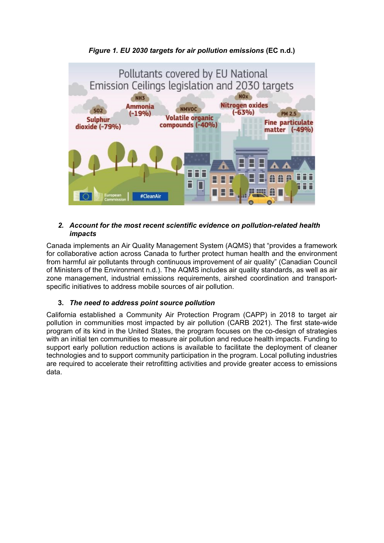

# *2. Account for the most recent scientific evidence on pollution-related health impacts*

Canada implements an Air Quality Management System (AQMS) that "provides a framework for collaborative action across Canada to further protect human health and the environment from harmful air pollutants through continuous improvement of air quality" (Canadian Council of Ministers of the Environment n.d.). The AQMS includes air quality standards, as well as air zone management, industrial emissions requirements, airshed coordination and transportspecific initiatives to address mobile sources of air pollution.

# **3.** *The need to address point source pollution*

California established a Community Air Protection Program (CAPP) in 2018 to target air pollution in communities most impacted by air pollution (CARB 2021). The first state-wide program of its kind in the United States, the program focuses on the co-design of strategies with an initial ten communities to measure air pollution and reduce health impacts. Funding to support early pollution reduction actions is available to facilitate the deployment of cleaner technologies and to support community participation in the program. Local polluting industries are required to accelerate their retrofitting activities and provide greater access to emissions data.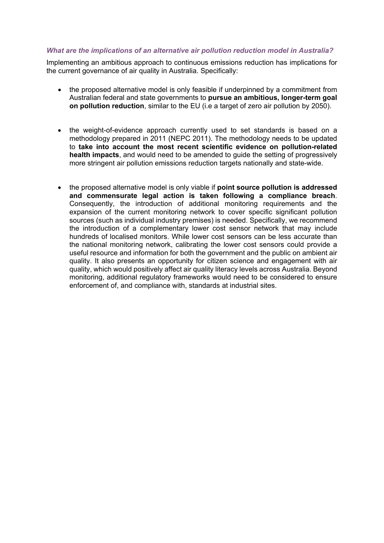## *What are the implications of an alternative air pollution reduction model in Australia?*

Implementing an ambitious approach to continuous emissions reduction has implications for the current governance of air quality in Australia. Specifically:

- the proposed alternative model is only feasible if underpinned by a commitment from Australian federal and state governments to **pursue an ambitious, longer-term goal on pollution reduction**, similar to the EU (i.e a target of zero air pollution by 2050).
- the weight-of-evidence approach currently used to set standards is based on a methodology prepared in 2011 (NEPC 2011). The methodology needs to be updated to **take into account the most recent scientific evidence on pollution-related health impacts**, and would need to be amended to guide the setting of progressively more stringent air pollution emissions reduction targets nationally and state-wide.
- the proposed alternative model is only viable if **point source pollution is addressed and commensurate legal action is taken following a compliance breach**. Consequently, the introduction of additional monitoring requirements and the expansion of the current monitoring network to cover specific significant pollution sources (such as individual industry premises) is needed. Specifically, we recommend the introduction of a complementary lower cost sensor network that may include hundreds of localised monitors. While lower cost sensors can be less accurate than the national monitoring network, calibrating the lower cost sensors could provide a useful resource and information for both the government and the public on ambient air quality. It also presents an opportunity for citizen science and engagement with air quality, which would positively affect air quality literacy levels across Australia. Beyond monitoring, additional regulatory frameworks would need to be considered to ensure enforcement of, and compliance with, standards at industrial sites.